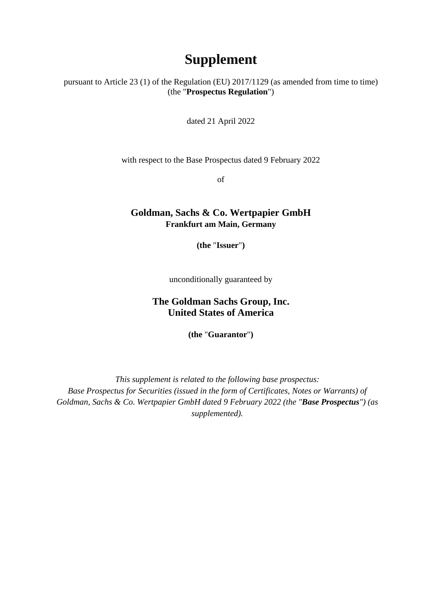## **Supplement**

pursuant to Article 23 (1) of the Regulation (EU) 2017/1129 (as amended from time to time) (the "**Prospectus Regulation**")

dated 21 April 2022

with respect to the Base Prospectus dated 9 February 2022

of

## **Goldman, Sachs & Co. Wertpapier GmbH Frankfurt am Main, Germany**

**(the** "**Issuer**"**)** 

unconditionally guaranteed by

## **The Goldman Sachs Group, Inc. United States of America**

**(the** "**Guarantor**"**)** 

*This supplement is related to the following base prospectus: Base Prospectus for Securities (issued in the form of Certificates, Notes or Warrants) of Goldman, Sachs & Co. Wertpapier GmbH dated 9 February 2022 (the "Base Prospectus") (as supplemented).*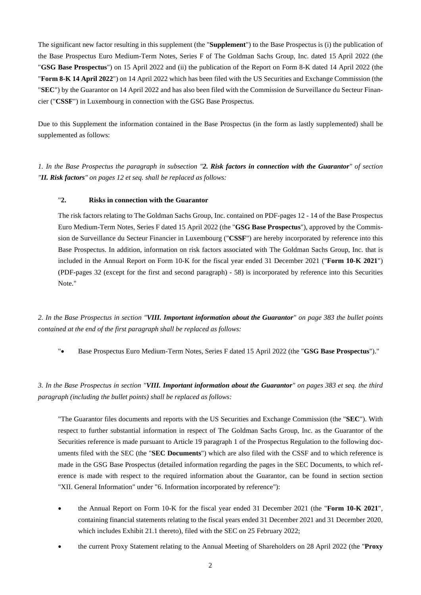The significant new factor resulting in this supplement (the "**Supplement**") to the Base Prospectus is (i) the publication of the Base Prospectus Euro Medium-Term Notes, Series F of The Goldman Sachs Group, Inc. dated 15 April 2022 (the "**GSG Base Prospectus**") on 15 April 2022 and (ii) the publication of the Report on Form 8-K dated 14 April 2022 (the "**Form 8-K 14 April 2022**") on 14 April 2022 which has been filed with the US Securities and Exchange Commission (the "**SEC**") by the Guarantor on 14 April 2022 and has also been filed with the Commission de Surveillance du Secteur Financier ("**CSSF**") in Luxembourg in connection with the GSG Base Prospectus.

Due to this Supplement the information contained in the Base Prospectus (in the form as lastly supplemented) shall be supplemented as follows:

*1. In the Base Prospectus the paragraph in subsection "2. Risk factors in connection with the Guarantor" of section "II. Risk factors" on pages 12 et seq. shall be replaced as follows:* 

## "**2. Risks in connection with the Guarantor**

The risk factors relating to The Goldman Sachs Group, Inc. contained on PDF-pages 12 - 14 of the Base Prospectus Euro Medium-Term Notes, Series F dated 15 April 2022 (the "**GSG Base Prospectus**"), approved by the Commission de Surveillance du Secteur Financier in Luxembourg ("**CSSF**") are hereby incorporated by reference into this Base Prospectus. In addition, information on risk factors associated with The Goldman Sachs Group, Inc. that is included in the Annual Report on Form 10-K for the fiscal year ended 31 December 2021 ("**Form 10-K 2021**") (PDF-pages 32 (except for the first and second paragraph) - 58) is incorporated by reference into this Securities Note."

*2. In the Base Prospectus in section "VIII. Important information about the Guarantor" on page 383 the bullet points contained at the end of the first paragraph shall be replaced as follows:* 

". Base Prospectus Euro Medium-Term Notes, Series F dated 15 April 2022 (the "GSG Base Prospectus")."

*3. In the Base Prospectus in section "VIII. Important information about the Guarantor" on pages 383 et seq. the third paragraph (including the bullet points) shall be replaced as follows:* 

"The Guarantor files documents and reports with the US Securities and Exchange Commission (the "**SEC**"). With respect to further substantial information in respect of The Goldman Sachs Group, Inc. as the Guarantor of the Securities reference is made pursuant to Article 19 paragraph 1 of the Prospectus Regulation to the following documents filed with the SEC (the "**SEC Documents**") which are also filed with the CSSF and to which reference is made in the GSG Base Prospectus (detailed information regarding the pages in the SEC Documents, to which reference is made with respect to the required information about the Guarantor, can be found in section section "XII. General Information" under "6. Information incorporated by reference"):

- the Annual Report on Form 10-K for the fiscal year ended 31 December 2021 (the "**Form 10-K 2021**", containing financial statements relating to the fiscal years ended 31 December 2021 and 31 December 2020, which includes Exhibit 21.1 thereto), filed with the SEC on 25 February 2022;
- the current Proxy Statement relating to the Annual Meeting of Shareholders on 28 April 2022 (the "**Proxy**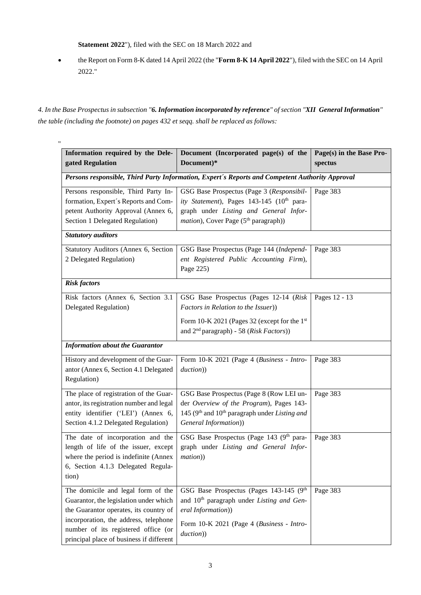**Statement 2022**"), filed with the SEC on 18 March 2022 and

 the Report on Form 8-K dated 14 April 2022 (the "**Form 8-K 14 April 2022**"), filed with the SEC on 14 April 2022."

*4. In the Base Prospectus in subsection "6. Information incorporated by reference" of section "XII General Information" the table (including the footnote) on pages 432 et seqq. shall be replaced as follows:* 

| Information required by the Dele-<br>gated Regulation                                                                                                                                                                                              | Document (Incorporated page(s) of the<br>Document)*                                                                                                                                          | Page(s) in the Base Pro-<br>spectus |
|----------------------------------------------------------------------------------------------------------------------------------------------------------------------------------------------------------------------------------------------------|----------------------------------------------------------------------------------------------------------------------------------------------------------------------------------------------|-------------------------------------|
| Persons responsible, Third Party Information, Expert's Reports and Competent Authority Approval                                                                                                                                                    |                                                                                                                                                                                              |                                     |
| Persons responsible, Third Party In-<br>formation, Expert's Reports and Com-<br>petent Authority Approval (Annex 6,<br>Section 1 Delegated Regulation)                                                                                             | GSG Base Prospectus (Page 3 (Responsibil-<br>ity Statement), Pages 143-145 (10th para-<br>graph under Listing and General Infor-<br><i>mation</i> ), Cover Page (5 <sup>th</sup> paragraph)) | Page 383                            |
| <b>Statutory auditors</b>                                                                                                                                                                                                                          |                                                                                                                                                                                              |                                     |
| Statutory Auditors (Annex 6, Section<br>2 Delegated Regulation)                                                                                                                                                                                    | GSG Base Prospectus (Page 144 (Independ-<br>ent Registered Public Accounting Firm),<br>Page 225)                                                                                             | Page 383                            |
| <b>Risk factors</b>                                                                                                                                                                                                                                |                                                                                                                                                                                              |                                     |
| Risk factors (Annex 6, Section 3.1)<br>Delegated Regulation)                                                                                                                                                                                       | GSG Base Prospectus (Pages 12-14 (Risk<br>Factors in Relation to the Issuer))<br>Form 10-K 2021 (Pages 32 (except for the 1st<br>and $2nd$ paragraph) - 58 ( <i>Risk Factors</i> ))          | Pages 12 - 13                       |
| <b>Information about the Guarantor</b>                                                                                                                                                                                                             |                                                                                                                                                                                              |                                     |
| History and development of the Guar-<br>antor (Annex 6, Section 4.1 Delegated<br>Regulation)                                                                                                                                                       | Form 10-K 2021 (Page 4 (Business - Intro-<br>duction))                                                                                                                                       | Page 383                            |
| The place of registration of the Guar-<br>antor, its registration number and legal<br>entity identifier ('LEI') (Annex 6,<br>Section 4.1.2 Delegated Regulation)                                                                                   | GSG Base Prospectus (Page 8 (Row LEI un-<br>der Overview of the Program), Pages 143-<br>145 ( $9th$ and $10th$ paragraph under Listing and<br>General Information))                          | Page 383                            |
| The date of incorporation and the<br>length of life of the issuer, except<br>where the period is indefinite (Annex<br>6, Section 4.1.3 Delegated Regula-<br>tion)                                                                                  | GSG Base Prospectus (Page 143 (9th para-<br>graph under Listing and General Infor-<br>mation))                                                                                               | Page 383                            |
| The domicile and legal form of the<br>Guarantor, the legislation under which<br>the Guarantor operates, its country of<br>incorporation, the address, telephone<br>number of its registered office (or<br>principal place of business if different | GSG Base Prospectus (Pages 143-145 (9th<br>and 10 <sup>th</sup> paragraph under Listing and Gen-<br>eral Information))<br>Form 10-K 2021 (Page 4 (Business - Intro-<br>duction))             | Page 383                            |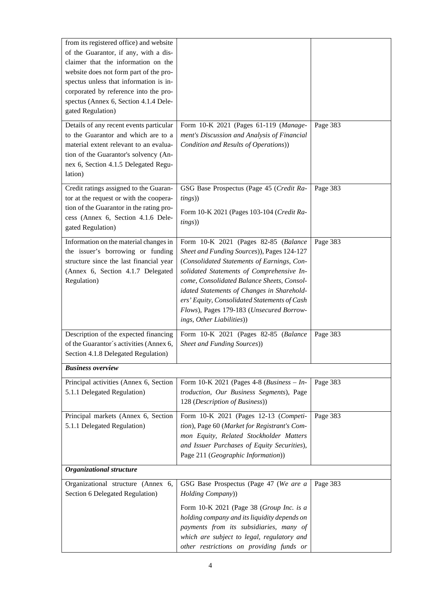| from its registered office) and website<br>of the Guarantor, if any, with a dis-<br>claimer that the information on the<br>website does not form part of the pro-<br>spectus unless that information is in-<br>corporated by reference into the pro-<br>spectus (Annex 6, Section 4.1.4 Dele-<br>gated Regulation) |                                                                                                                                                                                                                                                                                                                                                                                                    |          |
|--------------------------------------------------------------------------------------------------------------------------------------------------------------------------------------------------------------------------------------------------------------------------------------------------------------------|----------------------------------------------------------------------------------------------------------------------------------------------------------------------------------------------------------------------------------------------------------------------------------------------------------------------------------------------------------------------------------------------------|----------|
| Details of any recent events particular<br>to the Guarantor and which are to a<br>material extent relevant to an evalua-<br>tion of the Guarantor's solvency (An-<br>nex 6, Section 4.1.5 Delegated Regu-<br>lation)                                                                                               | Form 10-K 2021 (Pages 61-119 (Manage-<br>ment's Discussion and Analysis of Financial<br>Condition and Results of Operations))                                                                                                                                                                                                                                                                      | Page 383 |
| Credit ratings assigned to the Guaran-<br>tor at the request or with the coopera-<br>tion of the Guarantor in the rating pro-<br>cess (Annex 6, Section 4.1.6 Dele-<br>gated Regulation)                                                                                                                           | GSG Base Prospectus (Page 45 (Credit Ra-<br>tings)<br>Form 10-K 2021 (Pages 103-104 (Credit Ra-<br><i>tings</i> )                                                                                                                                                                                                                                                                                  | Page 383 |
| Information on the material changes in<br>the issuer's borrowing or funding<br>structure since the last financial year<br>(Annex 6, Section 4.1.7 Delegated<br>Regulation)                                                                                                                                         | Form 10-K 2021 (Pages 82-85 (Balance<br>Sheet and Funding Sources)), Pages 124-127<br>(Consolidated Statements of Earnings, Con-<br>solidated Statements of Comprehensive In-<br>come, Consolidated Balance Sheets, Consol-<br>idated Statements of Changes in Sharehold-<br>ers' Equity, Consolidated Statements of Cash<br>Flows), Pages 179-183 (Unsecured Borrow-<br>ings, Other Liabilities)) | Page 383 |
| Description of the expected financing<br>of the Guarantor's activities (Annex 6,<br>Section 4.1.8 Delegated Regulation)                                                                                                                                                                                            | Form 10-K 2021 (Pages 82-85 (Balance<br>Sheet and Funding Sources))                                                                                                                                                                                                                                                                                                                                | Page 383 |
| <b>Business overview</b>                                                                                                                                                                                                                                                                                           |                                                                                                                                                                                                                                                                                                                                                                                                    |          |
| Principal activities (Annex 6, Section<br>5.1.1 Delegated Regulation)                                                                                                                                                                                                                                              | Form 10-K 2021 (Pages 4-8 ( <i>Business – In-</i><br>troduction, Our Business Segments), Page<br>128 (Description of Business))                                                                                                                                                                                                                                                                    | Page 383 |
| Principal markets (Annex 6, Section<br>5.1.1 Delegated Regulation)                                                                                                                                                                                                                                                 | Form 10-K 2021 (Pages 12-13 (Competi-<br>tion), Page 60 (Market for Registrant's Com-<br>mon Equity, Related Stockholder Matters<br>and Issuer Purchases of Equity Securities),<br>Page 211 (Geographic Information))                                                                                                                                                                              | Page 383 |
| Organizational structure                                                                                                                                                                                                                                                                                           |                                                                                                                                                                                                                                                                                                                                                                                                    |          |
| Organizational structure (Annex 6,<br>Section 6 Delegated Regulation)                                                                                                                                                                                                                                              | GSG Base Prospectus (Page 47 (We are a<br>Holding Company))<br>Form 10-K 2021 (Page 38 (Group Inc. is a<br>holding company and its liquidity depends on<br>payments from its subsidiaries, many of<br>which are subject to legal, regulatory and                                                                                                                                                   | Page 383 |
|                                                                                                                                                                                                                                                                                                                    | other restrictions on providing funds or                                                                                                                                                                                                                                                                                                                                                           |          |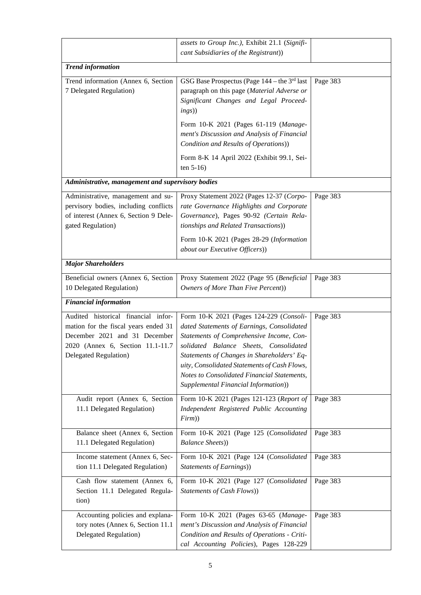|                                                                                                                                                                            | assets to Group Inc.), Exhibit 21.1 (Signifi-<br>cant Subsidiaries of the Registrant))                                                                                                                                                                                                                                                                           |          |  |
|----------------------------------------------------------------------------------------------------------------------------------------------------------------------------|------------------------------------------------------------------------------------------------------------------------------------------------------------------------------------------------------------------------------------------------------------------------------------------------------------------------------------------------------------------|----------|--|
| <b>Trend information</b>                                                                                                                                                   |                                                                                                                                                                                                                                                                                                                                                                  |          |  |
| Trend information (Annex 6, Section<br>7 Delegated Regulation)                                                                                                             | GSG Base Prospectus (Page $144$ – the 3 <sup>rd</sup> last<br>paragraph on this page (Material Adverse or<br>Significant Changes and Legal Proceed-<br>ings))<br>Form 10-K 2021 (Pages 61-119 (Manage-<br>ment's Discussion and Analysis of Financial                                                                                                            | Page 383 |  |
|                                                                                                                                                                            | Condition and Results of Operations))<br>Form 8-K 14 April 2022 (Exhibit 99.1, Sei-<br>ten $5-16$                                                                                                                                                                                                                                                                |          |  |
| Administrative, management and supervisory bodies                                                                                                                          |                                                                                                                                                                                                                                                                                                                                                                  |          |  |
| Administrative, management and su-<br>pervisory bodies, including conflicts<br>of interest (Annex 6, Section 9 Dele-<br>gated Regulation)                                  | Proxy Statement 2022 (Pages 12-37 (Corpo-<br>rate Governance Highlights and Corporate<br>Governance), Pages 90-92 (Certain Rela-<br>tionships and Related Transactions))<br>Form 10-K 2021 (Pages 28-29 (Information<br>about our Executive Officers))                                                                                                           | Page 383 |  |
| <b>Major Shareholders</b>                                                                                                                                                  |                                                                                                                                                                                                                                                                                                                                                                  |          |  |
| Beneficial owners (Annex 6, Section<br>10 Delegated Regulation)                                                                                                            | Proxy Statement 2022 (Page 95 (Beneficial<br>Owners of More Than Five Percent))                                                                                                                                                                                                                                                                                  | Page 383 |  |
| <b>Financial information</b>                                                                                                                                               |                                                                                                                                                                                                                                                                                                                                                                  |          |  |
| Audited historical financial infor-<br>mation for the fiscal years ended 31<br>December 2021 and 31 December<br>2020 (Annex 6, Section 11.1-11.7)<br>Delegated Regulation) | Form 10-K 2021 (Pages 124-229 (Consoli-<br>dated Statements of Earnings, Consolidated<br>Statements of Comprehensive Income, Con-<br>solidated Balance Sheets, Consolidated<br>Statements of Changes in Shareholders' Eq-<br>uity, Consolidated Statements of Cash Flows,<br>Notes to Consolidated Financial Statements,<br>Supplemental Financial Information)) | Page 383 |  |
| Audit report (Annex 6, Section<br>11.1 Delegated Regulation)                                                                                                               | Form 10-K 2021 (Pages 121-123 (Report of<br>Independent Registered Public Accounting<br>Firm)                                                                                                                                                                                                                                                                    | Page 383 |  |
| Balance sheet (Annex 6, Section<br>11.1 Delegated Regulation)                                                                                                              | Form 10-K 2021 (Page 125 (Consolidated<br><b>Balance Sheets)</b>                                                                                                                                                                                                                                                                                                 | Page 383 |  |
| Income statement (Annex 6, Sec-<br>tion 11.1 Delegated Regulation)                                                                                                         | Form 10-K 2021 (Page 124 (Consolidated<br>Statements of Earnings))                                                                                                                                                                                                                                                                                               | Page 383 |  |
| Cash flow statement (Annex 6,<br>Section 11.1 Delegated Regula-<br>tion)                                                                                                   | Form 10-K 2021 (Page 127 (Consolidated<br>Statements of Cash Flows))                                                                                                                                                                                                                                                                                             | Page 383 |  |
| Accounting policies and explana-<br>tory notes (Annex 6, Section 11.1<br>Delegated Regulation)                                                                             | Form 10-K 2021 (Pages 63-65 (Manage-<br>ment's Discussion and Analysis of Financial<br>Condition and Results of Operations - Criti-<br>cal Accounting Policies), Pages 128-229                                                                                                                                                                                   | Page 383 |  |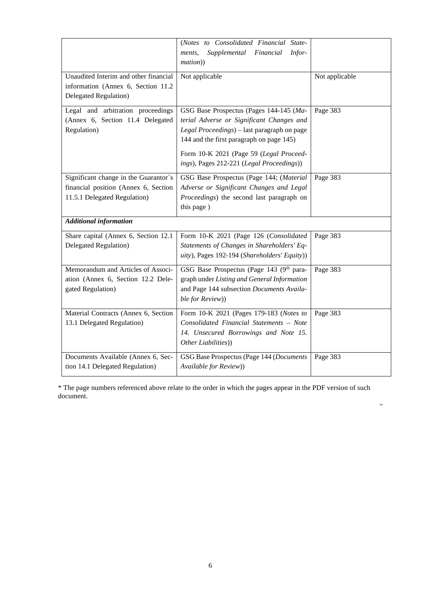|                                                                                                               | (Notes to Consolidated Financial State-<br>Supplemental<br>Financial<br>Infor-<br>ments,<br>mation))                                                                                                                                                                    |                |
|---------------------------------------------------------------------------------------------------------------|-------------------------------------------------------------------------------------------------------------------------------------------------------------------------------------------------------------------------------------------------------------------------|----------------|
| Unaudited Interim and other financial<br>information (Annex 6, Section 11.2)<br>Delegated Regulation)         | Not applicable                                                                                                                                                                                                                                                          | Not applicable |
| Legal and arbitration proceedings<br>(Annex 6, Section 11.4 Delegated<br>Regulation)                          | GSG Base Prospectus (Pages 144-145 (Ma-<br>terial Adverse or Significant Changes and<br>Legal Proceedings) - last paragraph on page<br>144 and the first paragraph on page 145)<br>Form 10-K 2021 (Page 59 (Legal Proceed-<br>ings), Pages 212-221 (Legal Proceedings)) | Page 383       |
| Significant change in the Guarantor's<br>financial position (Annex 6, Section<br>11.5.1 Delegated Regulation) | GSG Base Prospectus (Page 144; (Material<br>Adverse or Significant Changes and Legal<br>Proceedings) the second last paragraph on<br>this page)                                                                                                                         | Page 383       |
| <b>Additional information</b>                                                                                 |                                                                                                                                                                                                                                                                         |                |
| Share capital (Annex 6, Section 12.1<br><b>Delegated Regulation</b> )                                         | Form 10-K 2021 (Page 126 (Consolidated<br>Statements of Changes in Shareholders' Eq-<br>uity), Pages 192-194 (Shareholders' Equity))                                                                                                                                    | Page 383       |
| Memorandum and Articles of Associ-<br>ation (Annex 6, Section 12.2 Dele-<br>gated Regulation)                 | GSG Base Prospectus (Page 143 (9th para-<br>graph under Listing and General Information<br>and Page 144 subsection Documents Availa-<br>ble for Review))                                                                                                                | Page 383       |
| Material Contracts (Annex 6, Section<br>13.1 Delegated Regulation)                                            | Form 10-K 2021 (Pages 179-183 (Notes to<br>Consolidated Financial Statements - Note<br>14. Unsecured Borrowings and Note 15.<br>Other Liabilities))                                                                                                                     | Page 383       |
| Documents Available (Annex 6, Sec-<br>tion 14.1 Delegated Regulation)                                         | GSG Base Prospectus (Page 144 (Documents<br>Available for Review))                                                                                                                                                                                                      | Page 383       |

\* The page numbers referenced above relate to the order in which the pages appear in the PDF version of such document.

"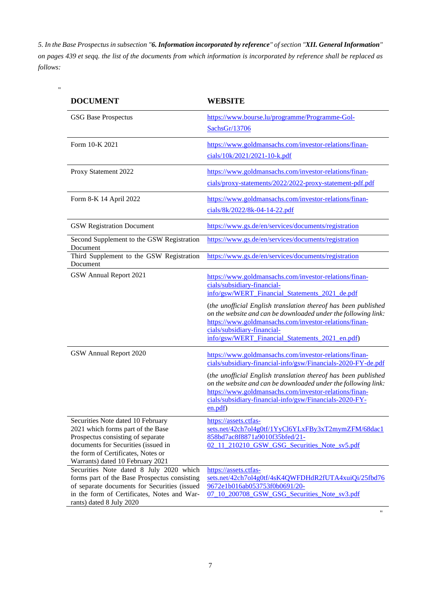*5. In the Base Prospectus in subsection "6. Information incorporated by reference" of section "XII. General Information" on pages 439 et seqq. the list of the documents from which information is incorporated by reference shall be replaced as follows:* 

"

| <b>DOCUMENT</b>                                                                                                                                                                                                              | <b>WEBSITE</b>                                                                                                                                                                                                                                                                                                                                                                                                          |
|------------------------------------------------------------------------------------------------------------------------------------------------------------------------------------------------------------------------------|-------------------------------------------------------------------------------------------------------------------------------------------------------------------------------------------------------------------------------------------------------------------------------------------------------------------------------------------------------------------------------------------------------------------------|
| <b>GSG Base Prospectus</b>                                                                                                                                                                                                   | https://www.bourse.lu/programme/Programme-Gol-<br>SachsGr/13706                                                                                                                                                                                                                                                                                                                                                         |
| Form 10-K 2021                                                                                                                                                                                                               | https://www.goldmansachs.com/investor-relations/finan-<br>cials/10k/2021/2021-10-k.pdf                                                                                                                                                                                                                                                                                                                                  |
| Proxy Statement 2022                                                                                                                                                                                                         | https://www.goldmansachs.com/investor-relations/finan-<br>cials/proxy-statements/2022/2022-proxy-statement-pdf.pdf                                                                                                                                                                                                                                                                                                      |
| Form 8-K 14 April 2022                                                                                                                                                                                                       | https://www.goldmansachs.com/investor-relations/finan-<br>cials/8k/2022/8k-04-14-22.pdf                                                                                                                                                                                                                                                                                                                                 |
| <b>GSW Registration Document</b>                                                                                                                                                                                             | https://www.gs.de/en/services/documents/registration                                                                                                                                                                                                                                                                                                                                                                    |
| Second Supplement to the GSW Registration<br>Document                                                                                                                                                                        | https://www.gs.de/en/services/documents/registration                                                                                                                                                                                                                                                                                                                                                                    |
| Third Supplement to the GSW Registration<br>Document                                                                                                                                                                         | https://www.gs.de/en/services/documents/registration                                                                                                                                                                                                                                                                                                                                                                    |
| GSW Annual Report 2021                                                                                                                                                                                                       | https://www.goldmansachs.com/investor-relations/finan-<br>cials/subsidiary-financial-<br>info/gsw/WERT Financial Statements 2021 de.pdf<br>(the unofficial English translation thereof has been published<br>on the website and can be downloaded under the following link:<br>https://www.goldmansachs.com/investor-relations/finan-<br>cials/subsidiary-financial-<br>info/gsw/WERT Financial Statements 2021 en.pdf) |
| GSW Annual Report 2020                                                                                                                                                                                                       | https://www.goldmansachs.com/investor-relations/finan-<br>cials/subsidiary-financial-info/gsw/Financials-2020-FY-de.pdf<br>(the unofficial English translation thereof has been published<br>on the website and can be downloaded under the following link:<br>https://www.goldmansachs.com/investor-relations/finan-<br>cials/subsidiary-financial-info/gsw/Financials-2020-FY-<br>en.pdf                              |
| Securities Note dated 10 February<br>2021 which forms part of the Base<br>Prospectus consisting of separate<br>documents for Securities (issued in<br>the form of Certificates, Notes or<br>Warrants) dated 10 February 2021 | https://assets.ctfas-<br>sets.net/42ch7ol4g0tf/1YyCl6YLxFBy3xT2mymZFM/68dac1<br>858bd7ac8f8871a9010f35bfed/21-<br>02_11_210210_GSW_GSG_Securities_Note_sv5.pdf                                                                                                                                                                                                                                                          |
| Securities Note dated 8 July 2020 which<br>forms part of the Base Prospectus consisting<br>of separate documents for Securities (issued<br>in the form of Certificates, Notes and War-<br>rants) dated 8 July 2020           | https://assets.ctfas-<br>sets.net/42ch7ol4g0tf/4sK4QWFDHdR2fUTA4xuiQi/25fbd76<br>9672e1b016ab053753f0b0691/20-<br>07_10_200708_GSW_GSG_Securities_Note_sv3.pdf<br>11                                                                                                                                                                                                                                                    |